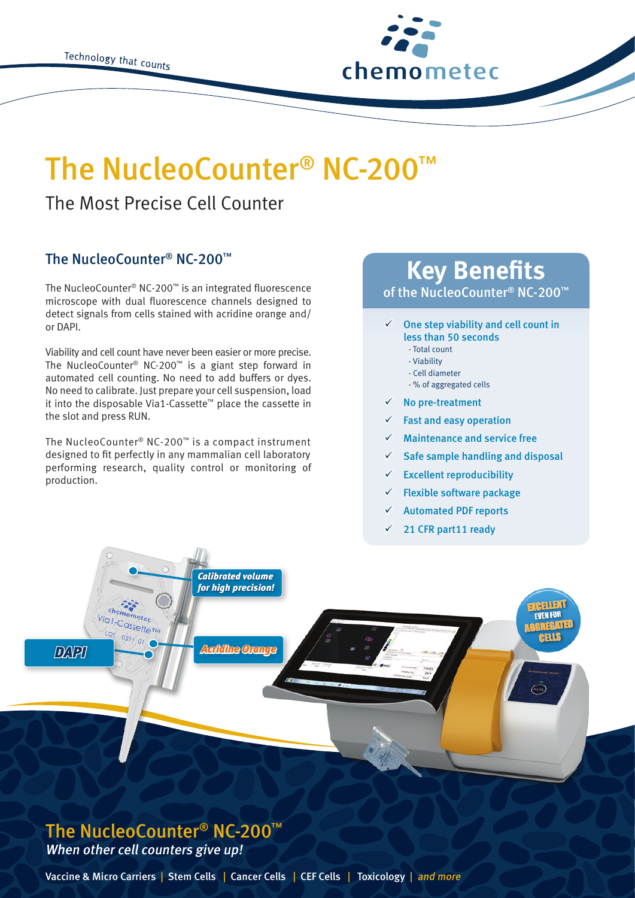

# The NucleoCounter® NC-200

## The Most Precise Cell Counter

### The NucleoCounter® NC-200™

The NucleoCounter® NC-200™ is an integrated fluorescence microscope with dual fluorescence channels designed to detect signals from cells stained with acridine orange and/ or DAPI.

Viability and cell count have never been easier or more precise. The NucleoCounter® NC-200™ is a giant step forward in automated cell counting. No need to add buffers or dyes. No need to calibrate. Just prepare your cell suspension, load it into the disposable Via1-Cassette™ place the cassette in the slot and press RUN.

The NucleoCounter® NC-200™ is a compact instrument designed to fit perfectly in any mammalian cell laboratory performing research, quality control or monitoring of production.

# **Key Benefits**

of the NucleoCounter® NC-200™

#### One step viability and cell count in less than 50 seconds

- Total count
- Viability
- Cell diameter
- % of aggregated cells
- $\checkmark$  No pre-treatment
- $\checkmark$  Fast and easy operation
- Maintenance and service free
- $\checkmark$  Safe sample handling and disposal
- $\checkmark$  Excellent reproducibility
- $\checkmark$  Flexible software package
- $\checkmark$  Automated PDF reports
- $\checkmark$  21 CFR part11 ready



### The NucleoCounter® NC-200™ When other cell counters give up!

Vaccine & Micro Carriers | Stem Cells | Cancer Cells | CEF Cells | Toxicology | and more